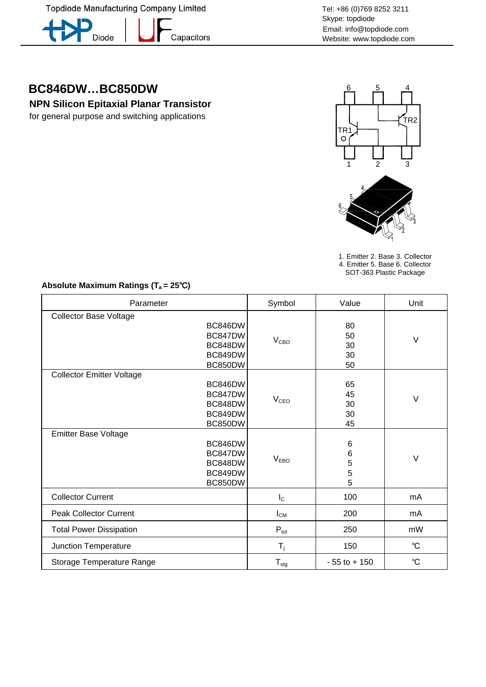Topdiode Manufacturing Company Limited



Capacitors

Tel: +86 (0)769 8252 3211 Skype: topdiode Email: info@topdiode.com Website: www.topdiode.com

# **BC846DW…BC850DW**

**NPN Silicon Epitaxial Planar Transistor** 

for general purpose and switching applications



1. Emitter 2. Base 3. Collector 4. Emitter 5. Base 6. Collector

SOT-363 Plastic Package

### **Absolute Maximum Ratings (Ta = 25**℃**)**

| Parameter                                                                               | Symbol           | Value                      | Unit        |
|-----------------------------------------------------------------------------------------|------------------|----------------------------|-------------|
| <b>Collector Base Voltage</b><br>BC846DW<br>BC847DW<br>BC848DW<br>BC849DW<br>BC850DW    | V <sub>CBO</sub> | 80<br>50<br>30<br>30<br>50 | $\vee$      |
| <b>Collector Emitter Voltage</b><br>BC846DW<br>BC847DW<br>BC848DW<br>BC849DW<br>BC850DW | V <sub>CEO</sub> | 65<br>45<br>30<br>30<br>45 | $\vee$      |
| <b>Emitter Base Voltage</b><br>BC846DW<br>BC847DW<br>BC848DW<br>BC849DW<br>BC850DW      | V <sub>EBO</sub> | 6<br>6<br>5<br>5<br>5      | $\vee$      |
| <b>Collector Current</b>                                                                | $I_{\rm C}$      | 100                        | mA          |
| <b>Peak Collector Current</b>                                                           | $I_{CM}$         | 200                        | mA          |
| <b>Total Power Dissipation</b>                                                          | $P_{\text{tot}}$ | 250                        | mW          |
| Junction Temperature                                                                    | $T_i$            | 150                        | $^{\circ}C$ |
| Storage Temperature Range                                                               | $T_{\text{stg}}$ | $-55$ to $+150$            | $^{\circ}C$ |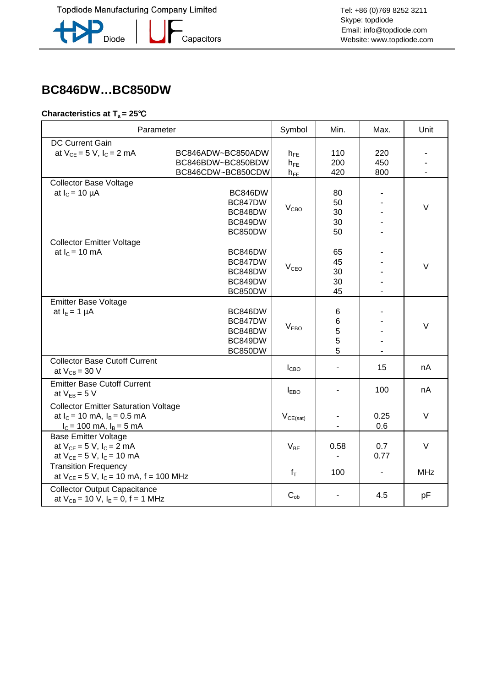**-**<br>Capacitors



## **BC846DW…BC850DW**

#### **Characteristics at Ta = 25**℃

| Parameter                                                                                                       |                                                             | Symbol                           | Min.                       | Max.              | Unit       |
|-----------------------------------------------------------------------------------------------------------------|-------------------------------------------------------------|----------------------------------|----------------------------|-------------------|------------|
| <b>DC Current Gain</b><br>at $V_{CE} = 5 V$ , $I_C = 2 mA$                                                      | BC846ADW~BC850ADW<br>BC846BDW~BC850BDW<br>BC846CDW~BC850CDW | $h_{FE}$<br>$h_{FE}$<br>$h_{FE}$ | 110<br>200<br>420          | 220<br>450<br>800 |            |
| <b>Collector Base Voltage</b><br>at $I_c = 10 \mu A$                                                            | BC846DW<br>BC847DW<br>BC848DW<br>BC849DW<br>BC850DW         | V <sub>CBO</sub>                 | 80<br>50<br>30<br>30<br>50 |                   | $\vee$     |
| <b>Collector Emitter Voltage</b><br>at $I_c = 10$ mA                                                            | BC846DW<br>BC847DW<br>BC848DW<br>BC849DW<br>BC850DW         | V <sub>CEO</sub>                 | 65<br>45<br>30<br>30<br>45 |                   | $\vee$     |
| <b>Emitter Base Voltage</b><br>at $I_E = 1 \mu A$                                                               | BC846DW<br>BC847DW<br>BC848DW<br>BC849DW<br>BC850DW         | V <sub>EBO</sub>                 | 6<br>$\,6$<br>5<br>5<br>5  |                   | $\vee$     |
| <b>Collector Base Cutoff Current</b><br>at $V_{CB} = 30 V$                                                      |                                                             | I <sub>CBO</sub>                 |                            | 15                | nA         |
| <b>Emitter Base Cutoff Current</b><br>at $V_{EB} = 5 V$                                                         |                                                             | $I_{EBO}$                        |                            | 100               | nA         |
| <b>Collector Emitter Saturation Voltage</b><br>at $I_C = 10$ mA, $I_B = 0.5$ mA<br>$I_c = 100$ mA, $I_B = 5$ mA |                                                             | $V_{CE(sat)}$                    |                            | 0.25<br>0.6       | $\vee$     |
| <b>Base Emitter Voltage</b><br>at $V_{CE} = 5 V$ , $I_C = 2 mA$<br>at $V_{CE} = 5 V$ , $I_C = 10 mA$            |                                                             | $V_{BE}$                         | 0.58                       | 0.7<br>0.77       | $\vee$     |
| <b>Transition Frequency</b><br>at $V_{CE} = 5 V$ , $I_C = 10$ mA, $f = 100$ MHz                                 |                                                             | $f_T$                            | 100                        | $\blacksquare$    | <b>MHz</b> |
| <b>Collector Output Capacitance</b><br>at $V_{CB} = 10 V$ , $I_E = 0$ , $f = 1 MHz$                             |                                                             | $C_{ob}$                         |                            | 4.5               | pF         |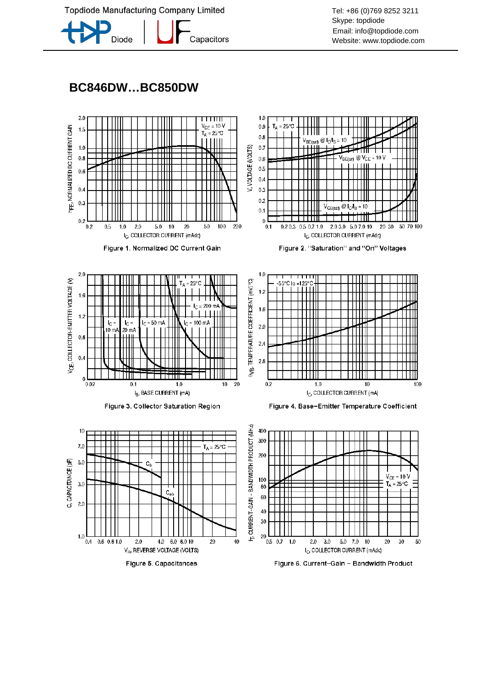**Topdiode Manufacturing Company Limited** 



Tel: +86 (0)769 8252 3211 Skype: topdiode Email: info@topdiode.com Website: www.topdiode.com

### **BC846DW…BC850DW**